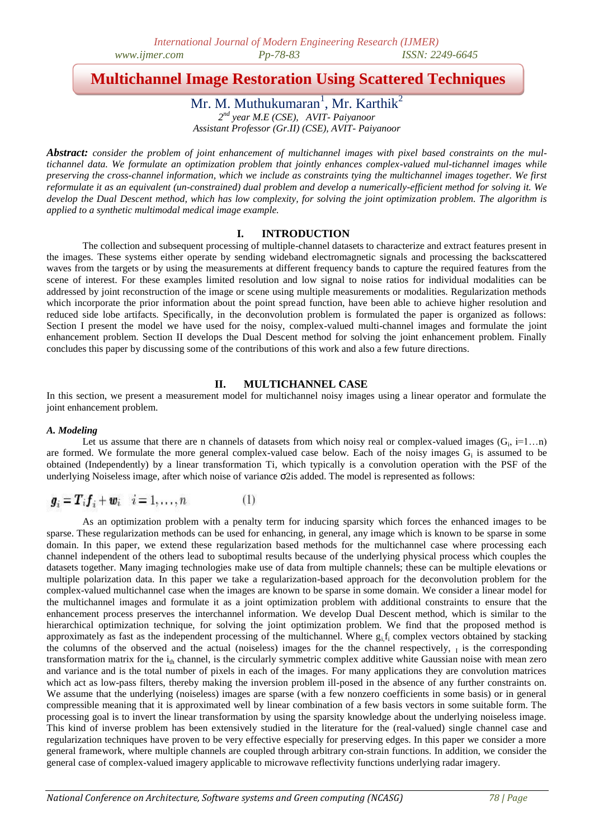## **Multichannel Image Restoration Using Scattered Techniques**

Mr. M. Muthukumaran<sup>1</sup>, Mr. Karthik<sup>2</sup> *2 nd year M.E (CSE), AVIT- Paiyanoor Assistant Professor (Gr.II) (CSE), AVIT- Paiyanoor*

*Abstract: consider the problem of joint enhancement of multichannel images with pixel based constraints on the multichannel data. We formulate an optimization problem that jointly enhances complex-valued mul-tichannel images while preserving the cross-channel information, which we include as constraints tying the multichannel images together. We first reformulate it as an equivalent (un-constrained) dual problem and develop a numerically-efficient method for solving it. We develop the Dual Descent method, which has low complexity, for solving the joint optimization problem. The algorithm is applied to a synthetic multimodal medical image example.* 

## **I. INTRODUCTION**

The collection and subsequent processing of multiple-channel datasets to characterize and extract features present in the images. These systems either operate by sending wideband electromagnetic signals and processing the backscattered waves from the targets or by using the measurements at different frequency bands to capture the required features from the scene of interest. For these examples limited resolution and low signal to noise ratios for individual modalities can be addressed by joint reconstruction of the image or scene using multiple measurements or modalities. Regularization methods which incorporate the prior information about the point spread function, have been able to achieve higher resolution and reduced side lobe artifacts. Specifically, in the deconvolution problem is formulated the paper is organized as follows: Section I present the model we have used for the noisy, complex-valued multi-channel images and formulate the joint enhancement problem. Section II develops the Dual Descent method for solving the joint enhancement problem. Finally concludes this paper by discussing some of the contributions of this work and also a few future directions.

## **II. MULTICHANNEL CASE**

In this section, we present a measurement model for multichannel noisy images using a linear operator and formulate the joint enhancement problem.

## *A. Modeling*

Let us assume that there are n channels of datasets from which noisy real or complex-valued images  $(G_i, i=1...n)$ are formed. We formulate the more general complex-valued case below. Each of the noisy images  $G_i$  is assumed to be obtained (Independently) by a linear transformation Ti, which typically is a convolution operation with the PSF of the underlying Noiseless image, after which noise of variance σ2is added. The model is represented as follows:

$$
\boldsymbol{g}_i = \boldsymbol{T}_i \boldsymbol{f}_i + \boldsymbol{w}_i \quad i = 1, \dots, n \tag{1}
$$

As an optimization problem with a penalty term for inducing sparsity which forces the enhanced images to be sparse. These regularization methods can be used for enhancing, in general, any image which is known to be sparse in some domain. In this paper, we extend these regularization based methods for the multichannel case where processing each channel independent of the others lead to suboptimal results because of the underlying physical process which couples the datasets together. Many imaging technologies make use of data from multiple channels; these can be multiple elevations or multiple polarization data. In this paper we take a regularization-based approach for the deconvolution problem for the complex-valued multichannel case when the images are known to be sparse in some domain. We consider a linear model for the multichannel images and formulate it as a joint optimization problem with additional constraints to ensure that the enhancement process preserves the interchannel information. We develop Dual Descent method, which is similar to the hierarchical optimization technique, for solving the joint optimization problem. We find that the proposed method is approximately as fast as the independent processing of the multichannel. Where  $g_i f_i$  complex vectors obtained by stacking the columns of the observed and the actual (noiseless) images for the the channel respectively,  $_I$  is the corresponding transformation matrix for the  $i_{th}$  channel, is the circularly symmetric complex additive white Gaussian noise with mean zero and variance and is the total number of pixels in each of the images. For many applications they are convolution matrices which act as low-pass filters, thereby making the inversion problem ill-posed in the absence of any further constraints on. We assume that the underlying (noiseless) images are sparse (with a few nonzero coefficients in some basis) or in general compressible meaning that it is approximated well by linear combination of a few basis vectors in some suitable form. The processing goal is to invert the linear transformation by using the sparsity knowledge about the underlying noiseless image. This kind of inverse problem has been extensively studied in the literature for the (real-valued) single channel case and regularization techniques have proven to be very effective especially for preserving edges. In this paper we consider a more general framework, where multiple channels are coupled through arbitrary con-strain functions. In addition, we consider the general case of complex-valued imagery applicable to microwave reflectivity functions underlying radar imagery.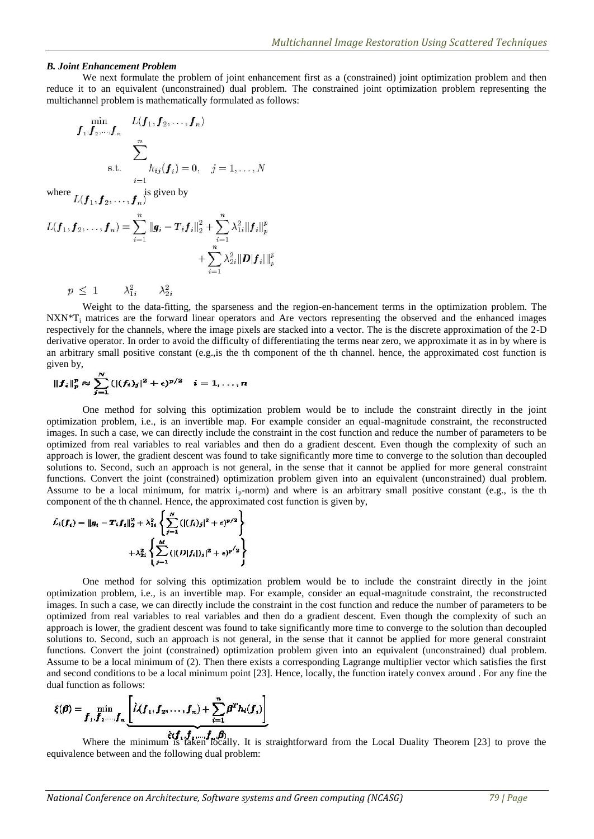## *B. Joint Enhancement Problem*

We next formulate the problem of joint enhancement first as a (constrained) joint optimization problem and then reduce it to an equivalent (unconstrained) dual problem. The constrained joint optimization problem representing the multichannel problem is mathematically formulated as follows:

$$
f_1, f_2, \dots, f_n
$$
  

$$
\sum_{s.t.}^{n} \sum_{i=1}^{n} h_{ij}(f_i) = 0, \quad j = 1, \dots, N
$$

where  $L(f_1, f_2, \ldots, f_n)$  is given by

$$
L(\bm{f}_1, \bm{f}_2, \ldots, \bm{f}_n) = \sum_{i=1}^n ||\bm{g}_i - T_i \bm{f}_i||_2^2 + \sum_{i=1}^n \lambda_{1i}^2 ||\bm{f}_i||_p^p
$$
  
+ 
$$
\sum_{i=1}^n \lambda_{2i}^2 ||\bm{D}|\bm{f}_i||_{p}^p
$$

 $p \leq 1$  $\lambda_{1,i}^2$  $\lambda_2^2$ .

Weight to the data-fitting, the sparseness and the region-en-hancement terms in the optimization problem. The NXN\*T<sub>i</sub> matrices are the forward linear operators and Are vectors representing the observed and the enhanced images respectively for the channels, where the image pixels are stacked into a vector. The is the discrete approximation of the 2-D derivative operator. In order to avoid the difficulty of differentiating the terms near zero, we approximate it as in by where is an arbitrary small positive constant (e.g.,is the th component of the th channel. hence, the approximated cost function is given by,

$$
||f_i||_p^p \approx \sum_{j=1}^N (|(f_i)_j|^2 + \epsilon)^{p/2} \quad i=1,\ldots,n
$$

One method for solving this optimization problem would be to include the constraint directly in the joint optimization problem, i.e., is an invertible map. For example consider an equal-magnitude constraint, the reconstructed images. In such a case, we can directly include the constraint in the cost function and reduce the number of parameters to be optimized from real variables to real variables and then do a gradient descent. Even though the complexity of such an approach is lower, the gradient descent was found to take significantly more time to converge to the solution than decoupled solutions to. Second, such an approach is not general, in the sense that it cannot be applied for more general constraint functions. Convert the joint (constrained) optimization problem given into an equivalent (unconstrained) dual problem. Assume to be a local minimum, for matrix  $i_p$ -norm) and where is an arbitrary small positive constant (e.g., is the th component of the th channel. Hence, the approximated cost function is given by,

$$
\hat{L}_i(f_i) = ||g_i - T_i f_i||_2^2 + \lambda_{1i}^2 \left\{ \sum_{j=1}^N (|(f_i)_j|^2 + \epsilon)^{p/2} \right\} + \lambda_{2i}^2 \left\{ \sum_{j=1}^M (|(D|f_i|)_j|^2 + \epsilon)^{p/2} \right\}
$$

One method for solving this optimization problem would be to include the constraint directly in the joint optimization problem, i.e., is an invertible map. For example, consider an equal-magnitude constraint, the reconstructed images. In such a case, we can directly include the constraint in the cost function and reduce the number of parameters to be optimized from real variables to real variables and then do a gradient descent. Even though the complexity of such an approach is lower, the gradient descent was found to take significantly more time to converge to the solution than decoupled solutions to. Second, such an approach is not general, in the sense that it cannot be applied for more general constraint functions. Convert the joint (constrained) optimization problem given into an equivalent (unconstrained) dual problem. Assume to be a local minimum of (2). Then there exists a corresponding Lagrange multiplier vector which satisfies the first and second conditions to be a local minimum point [23]. Hence, locally, the function irately convex around . For any fine the dual function as follows:

$$
\xi(\boldsymbol{\beta}) = \min_{\boldsymbol{f}_1, \boldsymbol{f}_2, \dots, \boldsymbol{f}_n} \underbrace{\left[ \hat{L}(\boldsymbol{f}_1, \boldsymbol{f}_2, \dots, \boldsymbol{f}_n) + \sum_{i=1}^n \boldsymbol{\beta}^T \boldsymbol{h}_i(\boldsymbol{f}_i) \right]}_{\tilde{\epsilon}(\boldsymbol{f}_1, \boldsymbol{f}_2, \dots, \boldsymbol{f}_n, \boldsymbol{\beta})}
$$

Where the minimum is taken locally. It is straightforward from the Local Duality Theorem [23] to prove the equivalence between and the following dual problem: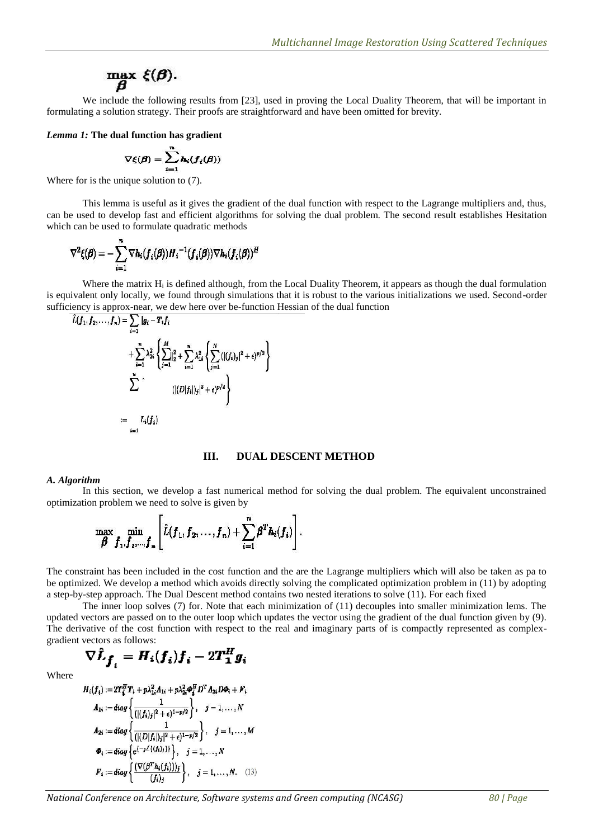# max  $\xi(\boldsymbol{\beta})$ .

We include the following results from [23], used in proving the Local Duality Theorem, that will be important in formulating a solution strategy. Their proofs are straightforward and have been omitted for brevity.

*Lemma 1:* **The dual function has gradient**

$$
\nabla \xi(\boldsymbol{\beta}) = \sum_{i=1}^n \mathbf{h}_i(\boldsymbol{f}_i(\boldsymbol{\beta}))
$$

Where for is the unique solution to (7).

This lemma is useful as it gives the gradient of the dual function with respect to the Lagrange multipliers and, thus, can be used to develop fast and efficient algorithms for solving the dual problem. The second result establishes Hesitation which can be used to formulate quadratic methods

$$
\nabla^2 \xi(\boldsymbol{\beta}) = -\sum_{i=1}^n \nabla h_i(f_i(\boldsymbol{\beta})) H_i^{-1}(f_i(\boldsymbol{\beta})) \nabla h_i(f_i(\boldsymbol{\beta}))^H
$$

Where the matrix  $H_i$  is defined although, from the Local Duality Theorem, it appears as though the dual formulation is equivalent only locally, we found through simulations that it is robust to the various initializations we used. Second-order sufficiency is approx-near, we dew here over be-function Hessian of the dual function

$$
\hat{L}(f_1, f_2, \ldots, f_n) = \sum_{i=1}^n \|g_i - T_i f_i + \sum_{i=1}^n \lambda_{2i}^2 \left\{ \sum_{j=1}^M \left\| \frac{2}{j-1} \right\|_2^2 + \sum_{i=1}^n \lambda_{1i}^2 \left\{ \sum_{j=1}^N (|(f_i)_j|^2 + \epsilon)^{p/2} \right\} \right\}
$$
\n
$$
\sum_{i=1}^n \hat{L}_i(f_i)
$$
\n
$$
:= L_i(f_i)
$$

## **III. DUAL DESCENT METHOD**

#### *A. Algorithm*

In this section, we develop a fast numerical method for solving the dual problem. The equivalent unconstrained optimization problem we need to solve is given by

$$
\max_{\boldsymbol{\beta}} \min_{\boldsymbol{f}_1, \boldsymbol{f}_2, \ldots, \boldsymbol{f}_n} \left[ \hat{L}(\boldsymbol{f}_1, \boldsymbol{f}_2, \ldots, \boldsymbol{f}_n) + \sum_{i=1}^n \boldsymbol{\beta}^T \boldsymbol{h}_i(\boldsymbol{f}_i) \right].
$$

The constraint has been included in the cost function and the are the Lagrange multipliers which will also be taken as pa to be optimized. We develop a method which avoids directly solving the complicated optimization problem in (11) by adopting a step-by-step approach. The Dual Descent method contains two nested iterations to solve (11). For each fixed

The inner loop solves (7) for. Note that each minimization of (11) decouples into smaller minimization lems. The updated vectors are passed on to the outer loop which updates the vector using the gradient of the dual function given by (9). The derivative of the cost function with respect to the real and imaginary parts of is compactly represented as complexgradient vectors as follows:

$$
\nabla \hat{L}_{\boldsymbol{f}_i} = H_i(\boldsymbol{f}_i) \boldsymbol{f}_i - 2 \boldsymbol{T}_1^H \boldsymbol{g}_i
$$

Where

$$
H_i(f_i) := 2T_i^T T_i + p \lambda_{1i}^2 A_{1i} + p \lambda_{2i}^2 \Phi_i^T D^T A_{2i} D \Phi_i + F_i
$$
  
\n
$$
A_{1i} := diag \left\{ \frac{1}{(|(f_i)_j|^2 + \epsilon)^{1 - p/2}} \right\}, \quad j = 1, ..., N
$$
  
\n
$$
A_{2i} := diag \left\{ \frac{1}{(|(D|f_i|)_j|^2 + \epsilon)^{1 - p/2}} \right\}, \quad j = 1, ..., M
$$
  
\n
$$
\Phi_i := diag \left\{ e^{(-j\angle\{(f_i)_j\})} \right\}, \quad j = 1, ..., N
$$
  
\n
$$
F_i := diag \left\{ \frac{(\nabla(\beta^T h_i(f_i)))_j}{(f_i)_j} \right\}, \quad j = 1, ..., N.
$$
 (13)

*National Conference on Architecture, Software systems and Green computing (NCASG) 80 | Page*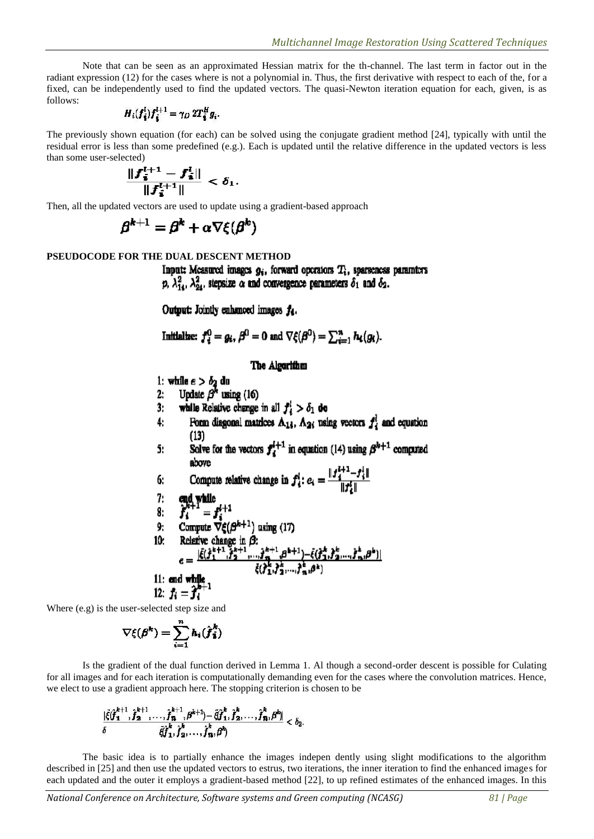Note that can be seen as an approximated Hessian matrix for the th-channel. The last term in factor out in the radiant expression (12) for the cases where is not a polynomial in. Thus, the first derivative with respect to each of the, for a fixed, can be independently used to find the updated vectors. The quasi-Newton iteration equation for each, given, is as follows:

$$
H_i(f_i^l)f_i^{l+1}=\gamma_D 2T_i^H g_i.
$$

The previously shown equation (for each) can be solved using the conjugate gradient method [24], typically with until the residual error is less than some predefined (e.g.). Each is updated until the relative difference in the updated vectors is less than some user-selected)

$$
\frac{\|f_{\vec{i}}^{l+1}-f_{\vec{i}}^l\|}{\|f_{\vec{i}}^{l+1}\|}<\delta_1.
$$

Then, all the updated vectors are used to update using a gradient-based approach

$$
\boldsymbol{\beta}^{k+1} = \boldsymbol{\beta}^k + \alpha \nabla \xi(\boldsymbol{\beta}^k)
$$

### **PSEUDOCODE FOR THE DUAL DESCENT METHOD**

Input: Measured images  $g_i$ , forward operators  $T_i$ , sparseness paramters p,  $\lambda_{14}^2$ ,  $\lambda_{24}^2$ , stepsize  $\alpha$  and convergence parameters  $\delta_1$  and  $\delta_2$ .

Output: Jointly enhanced images  $f_4$ .

Initialize: 
$$
f_i^0 = g_i
$$
,  $\beta^0 = 0$  and  $\nabla \xi(\beta^0) = \sum_{i=1}^n h_i(g_i)$ .

## The Algorithm

1: while  $e > \delta_2$  du

- Update  $\beta^k$  using (16) 2:
- while Relative change in all  $f_i^i > \delta_1$  do  $3:$
- Form diagonal matrices  $A_{14}$ ,  $A_{24}$  using vectors  $f_4^l$  and equation  $\ddot{ }$  $(13)$
- Solve for the vectors  $f_4^{l+1}$  in equation (14) using  $\beta^{l+1}$  computed 5:
- Compute relative change in  $f_i^i$ :  $e_i = \frac{||f_i^{i+1} f_i^i||}{||f_i^i||}$ 6:

7: **end while**  
\n8: 
$$
f_i^{k+1} = f_i^{l+1}
$$
  
\n9: Compute  $\nabla \xi(\beta^{k+1})$  using (17)  
\n10: Relative change in  $\beta$ :  
\n
$$
e = \frac{|\hat{\xi}(j_1^{k+1}, j_2^{k+1}, \dots, j_n^{k+1}, \beta^{k+1}) - \hat{\xi}(j_1^k, j_2^k, \dots, j_n^k, \beta^k)|}{\hat{\xi}(j_1^k, j_2^k, \dots, j_n^k, \beta^k)}
$$
\n11: **end while**  
\n12:  $f_i = \hat{\jmath}_i^{k+1}$ 

Where (e.g) is the user-selected step size and

$$
\nabla \xi(\boldsymbol{\beta}^k) = \sum_{i=1}^n h_i(\hat{\boldsymbol{f}}_i^k)
$$

Is the gradient of the dual function derived in Lemma 1. Al though a second-order descent is possible for Culating for all images and for each iteration is computationally demanding even for the cases where the convolution matrices. Hence, we elect to use a gradient approach here. The stopping criterion is chosen to be

$$
\frac{|\tilde{\xi}(\hat{\boldsymbol{f}}_{1}^{k+1},\hat{\boldsymbol{f}}_{2}^{k+1},\ldots,\hat{\boldsymbol{f}}_{n}^{k+1},\boldsymbol{\beta}^{k+1})-\tilde{\xi}(\hat{\boldsymbol{f}}_{1}^{k},\hat{\boldsymbol{f}}_{2}^{k},\ldots,\hat{\boldsymbol{f}}_{n}^{k},\boldsymbol{\beta}^{k})}{\tilde{\xi}(\hat{\boldsymbol{f}}_{1}^{k},\hat{\boldsymbol{f}}_{2}^{k},\ldots,\hat{\boldsymbol{f}}_{n}^{k},\boldsymbol{\beta}^{k})}<\delta_{2}.
$$

The basic idea is to partially enhance the images indepen dently using slight modifications to the algorithm described in [25] and then use the updated vectors to estrus, two iterations, the inner iteration to find the enhanced images for each updated and the outer it employs a gradient-based method [22], to up refined estimates of the enhanced images. In this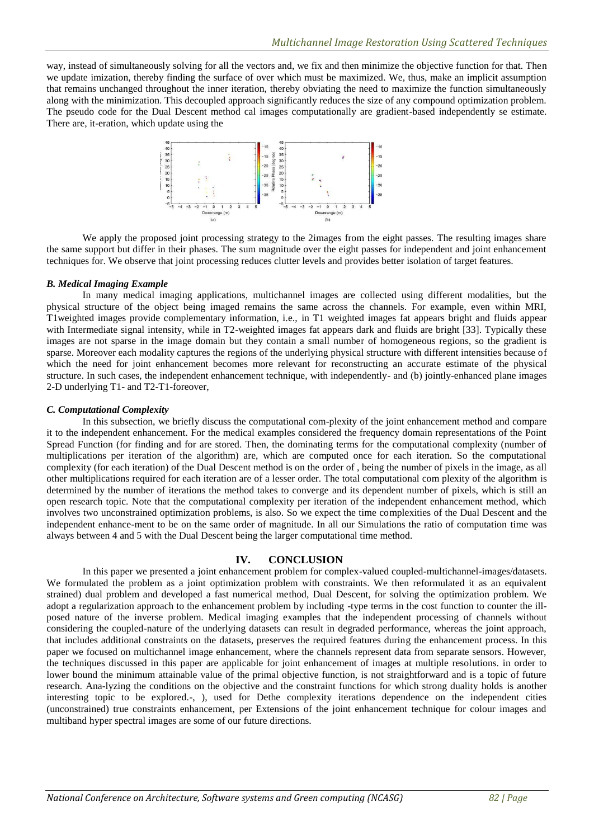way, instead of simultaneously solving for all the vectors and, we fix and then minimize the objective function for that. Then we update imization, thereby finding the surface of over which must be maximized. We, thus, make an implicit assumption that remains unchanged throughout the inner iteration, thereby obviating the need to maximize the function simultaneously along with the minimization. This decoupled approach significantly reduces the size of any compound optimization problem. The pseudo code for the Dual Descent method cal images computationally are gradient-based independently se estimate. There are, it-eration, which update using the



We apply the proposed joint processing strategy to the 2images from the eight passes. The resulting images share the same support but differ in their phases. The sum magnitude over the eight passes for independent and joint enhancement techniques for. We observe that joint processing reduces clutter levels and provides better isolation of target features.

## *B. Medical Imaging Example*

In many medical imaging applications, multichannel images are collected using different modalities, but the physical structure of the object being imaged remains the same across the channels. For example, even within MRI, T1weighted images provide complementary information, i.e., in T1 weighted images fat appears bright and fluids appear with Intermediate signal intensity, while in T2-weighted images fat appears dark and fluids are bright [33]. Typically these images are not sparse in the image domain but they contain a small number of homogeneous regions, so the gradient is sparse. Moreover each modality captures the regions of the underlying physical structure with different intensities because of which the need for joint enhancement becomes more relevant for reconstructing an accurate estimate of the physical structure. In such cases, the independent enhancement technique, with independently- and (b) jointly-enhanced plane images 2-D underlying T1- and T2-T1-foreover,

## *C. Computational Complexity*

In this subsection, we briefly discuss the computational com-plexity of the joint enhancement method and compare it to the independent enhancement. For the medical examples considered the frequency domain representations of the Point Spread Function (for finding and for are stored. Then, the dominating terms for the computational complexity (number of multiplications per iteration of the algorithm) are, which are computed once for each iteration. So the computational complexity (for each iteration) of the Dual Descent method is on the order of , being the number of pixels in the image, as all other multiplications required for each iteration are of a lesser order. The total computational com plexity of the algorithm is determined by the number of iterations the method takes to converge and its dependent number of pixels, which is still an open research topic. Note that the computational complexity per iteration of the independent enhancement method, which involves two unconstrained optimization problems, is also. So we expect the time complexities of the Dual Descent and the independent enhance-ment to be on the same order of magnitude. In all our Simulations the ratio of computation time was always between 4 and 5 with the Dual Descent being the larger computational time method.

## **IV. CONCLUSION**

In this paper we presented a joint enhancement problem for complex-valued coupled-multichannel-images/datasets. We formulated the problem as a joint optimization problem with constraints. We then reformulated it as an equivalent strained) dual problem and developed a fast numerical method, Dual Descent, for solving the optimization problem. We adopt a regularization approach to the enhancement problem by including -type terms in the cost function to counter the illposed nature of the inverse problem. Medical imaging examples that the independent processing of channels without considering the coupled-nature of the underlying datasets can result in degraded performance, whereas the joint approach, that includes additional constraints on the datasets, preserves the required features during the enhancement process. In this paper we focused on multichannel image enhancement, where the channels represent data from separate sensors. However, the techniques discussed in this paper are applicable for joint enhancement of images at multiple resolutions. in order to lower bound the minimum attainable value of the primal objective function, is not straightforward and is a topic of future research. Ana-lyzing the conditions on the objective and the constraint functions for which strong duality holds is another interesting topic to be explored.-, ), used for Dethe complexity iterations dependence on the independent cities (unconstrained) true constraints enhancement, per Extensions of the joint enhancement technique for colour images and multiband hyper spectral images are some of our future directions.